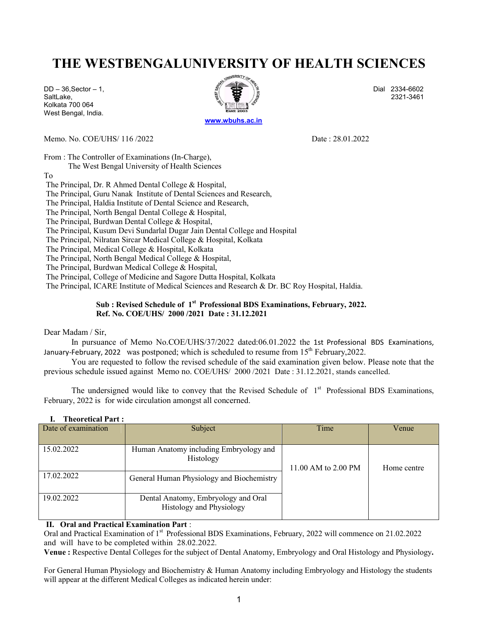# THE WESTBENGALUNIVERSITY OF HEALTH SCIENCES

Kolkata 700 064 West Bengal, India.



Memo. No. COE/UHS/ 116 /2022 Date : 28.01.2022

From : The Controller of Examinations (In-Charge),

The West Bengal University of Health Sciences

To

The Principal, Dr. R Ahmed Dental College & Hospital,

The Principal, Guru Nanak Institute of Dental Sciences and Research,

The Principal, Haldia Institute of Dental Science and Research,

The Principal, North Bengal Dental College & Hospital,

The Principal, Burdwan Dental College & Hospital,

The Principal, Kusum Devi Sundarlal Dugar Jain Dental College and Hospital

The Principal, Nilratan Sircar Medical College & Hospital, Kolkata

The Principal, Medical College & Hospital, Kolkata

The Principal, North Bengal Medical College & Hospital,

The Principal, Burdwan Medical College & Hospital,

The Principal, College of Medicine and Sagore Dutta Hospital, Kolkata

The Principal, ICARE Institute of Medical Sciences and Research & Dr. BC Roy Hospital, Haldia.

### Sub : Revised Schedule of 1<sup>st</sup> Professional BDS Examinations, February, 2022. Ref. No. COE/UHS/ 2000 /2021 Date : 31.12.2021

#### Dear Madam / Sir,

In pursuance of Memo No.COE/UHS/37/2022 dated:06.01.2022 the 1st Professional BDS Examinations, January-February, 2022 was postponed; which is scheduled to resume from  $15<sup>th</sup>$  February, 2022.

You are requested to follow the revised schedule of the said examination given below. Please note that the previous schedule issued against Memo no. COE/UHS/ 2000 /2021 Date : 31.12.2021, stands cancelled.

The undersigned would like to convey that the Revised Schedule of  $1<sup>st</sup>$  Professional BDS Examinations, February, 2022 is for wide circulation amongst all concerned.

| Date of examination | Subject                                                                | Time                | Venue       |
|---------------------|------------------------------------------------------------------------|---------------------|-------------|
| 15.02.2022          | Human Anatomy including Embryology and<br>Histology                    | 11.00 AM to 2.00 PM | Home centre |
| 17.02.2022          | General Human Physiology and Biochemistry                              |                     |             |
| 19.02.2022          | Dental Anatomy, Embryology and Oral<br><b>Histology and Physiology</b> |                     |             |

#### I. Theoretical Part :

### II. Oral and Practical Examination Part :

Oral and Practical Examination of 1<sup>st</sup> Professional BDS Examinations, February, 2022 will commence on 21.02.2022 and will have to be completed within 28.02.2022.

Venue : Respective Dental Colleges for the subject of Dental Anatomy, Embryology and Oral Histology and Physiology.

For General Human Physiology and Biochemistry & Human Anatomy including Embryology and Histology the students will appear at the different Medical Colleges as indicated herein under: